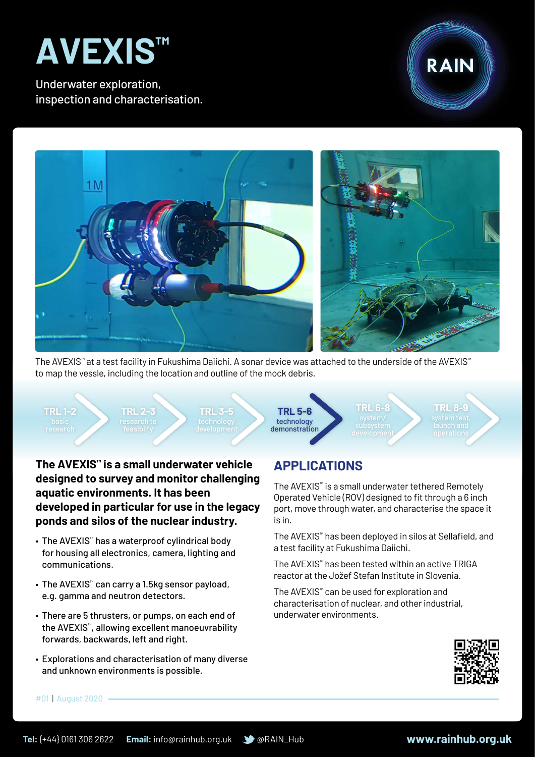

Underwater exploration, inspection and characterisation.





The AVEXIS™ at a test facility in Fukushima Daiichi. A sonar device was attached to the underside of the AVEXIS™ to map the vessle, including the location and outline of the mock debris.

**TRL 1-2**

**TRL 2-3**

**TRL 3-5**

technology demonstration **TRL 5-6**

**TRL 6-8**

**TRL 8-9**

**The AVEXIS™ is a small underwater vehicle designed to survey and monitor challenging aquatic environments. It has been developed in particular for use in the legacy ponds and silos of the nuclear industry.**

- • The AVEXIS™ has a waterproof cylindrical body for housing all electronics, camera, lighting and communications.
- The AVEXIS™ can carry a 1.5kg sensor payload, e.g. gamma and neutron detectors.
- There are 5 thrusters, or pumps, on each end of the AVEXIS™, allowing excellent manoeuvrability forwards, backwards, left and right.
- Explorations and characterisation of many diverse and unknown environments is possible.

## **APPLICATIONS**

The AVEXIS™ is a small underwater tethered Remotely Operated Vehicle (ROV) designed to fit through a 6 inch port, move through water, and characterise the space it is in.

The AVEXIS™ has been deployed in silos at Sellafield, and a test facility at Fukushima Daiichi.

The AVEXIS™ has been tested within an active TRIGA reactor at the Jožef Stefan Institute in Slovenia.

The AVEXIS™ can be used for exploration and characterisation of nuclear, and other industrial, underwater environments.



#01 | August 2020